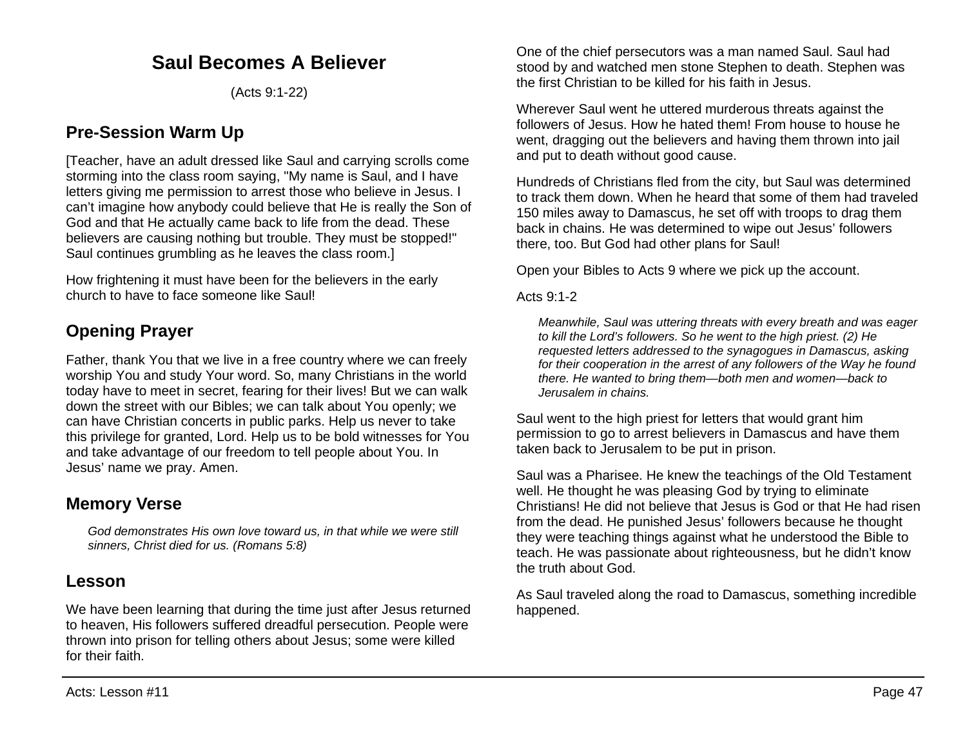# **Saul Becomes A Believer**

(Acts 9:1-22)

# **Pre-Session Warm Up**

[Teacher, have an adult dressed like Saul and carrying scrolls come storming into the class room saying, "My name is Saul, and I have letters giving me permission to arrest those who believe in Jesus. I can't imagine how anybody could believe that He is really the Son of God and that He actually came back to life from the dead. These believers are causing nothing but trouble. They must be stopped!" Saul continues grumbling as he leaves the class room.]

How frightening it must have been for the believers in the early church to have to face someone like Saul!

# **Opening Prayer**

Father, thank You that we live in a free country where we can freely worship You and study Your word. So, many Christians in the world today have to meet in secret, fearing for their lives! But we can walk down the street with our Bibles; we can talk about You openly; we can have Christian concerts in public parks. Help us never to take this privilege for granted, Lord. Help us to be bold witnesses for You and take advantage of our freedom to tell people about You. In Jesus' name we pray. Amen.

# **Memory Verse**

*God demonstrates His own love toward us, in that while we were still sinners, Christ died for us. (Romans 5:8)*

# **Lesson**

We have been learning that during the time just after Jesus returned to heaven, His followers suffered dreadful persecution. People were thrown into prison for telling others about Jesus; some were killed for their faith.

One of the chief persecutors was a man named Saul. Saul had stood by and watched men stone Stephen to death. Stephen was the first Christian to be killed for his faith in Jesus.

Wherever Saul went he uttered murderous threats against the followers of Jesus. How he hated them! From house to house he went, dragging out the believers and having them thrown into jail and put to death without good cause.

Hundreds of Christians fled from the city, but Saul was determined to track them down. When he heard that some of them had traveled 150 miles away to Damascus, he set off with troops to drag them back in chains. He was determined to wipe out Jesus' followers there, too. But God had other plans for Saul!

Open your Bibles to Acts 9 where we pick up the account.

Acts 9:1-2

*Meanwhile, Saul was uttering threats with every breath and was eager to kill the Lord's followers. So he went to the high priest. (2) He requested letters addressed to the synagogues in Damascus, asking for their cooperation in the arrest of any followers of the Way he found there. He wanted to bring them—both men and women—back to Jerusalem in chains.*

Saul went to the high priest for letters that would grant him permission to go to arrest believers in Damascus and have them taken back to Jerusalem to be put in prison.

Saul was a Pharisee. He knew the teachings of the Old Testament well. He thought he was pleasing God by trying to eliminate Christians! He did not believe that Jesus is God or that He had risen from the dead. He punished Jesus' followers because he thought they were teaching things against what he understood the Bible to teach. He was passionate about righteousness, but he didn't know the truth about God.

As Saul traveled along the road to Damascus, something incredible happened.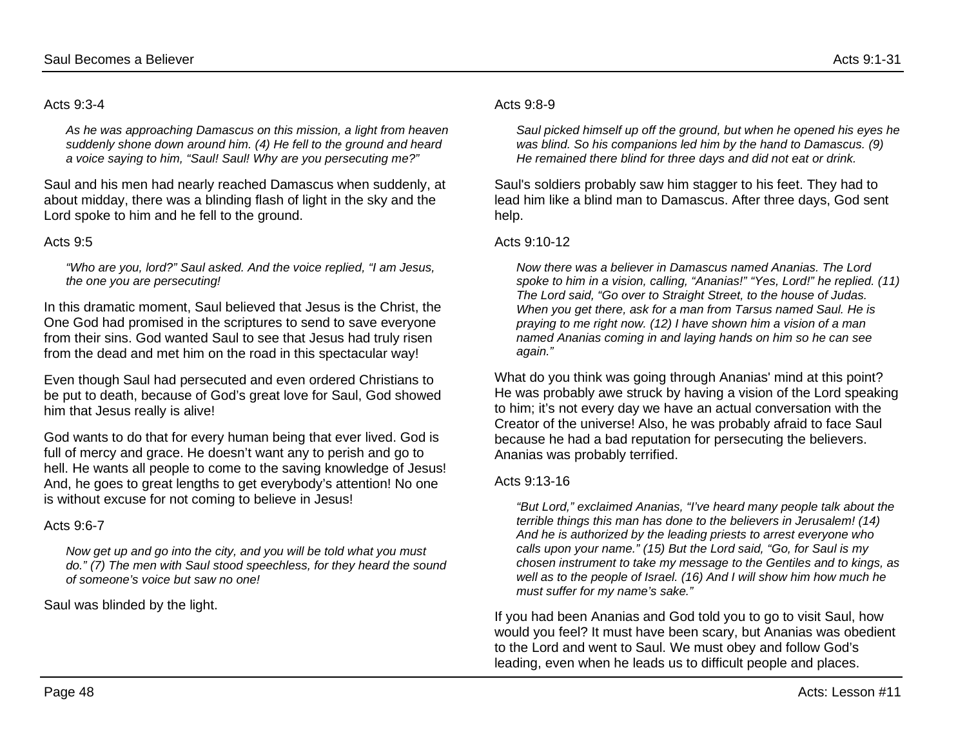### Acts 9:3-4

*As he was approaching Damascus on this mission, a light from heaven suddenly shone down around him. (4) He fell to the ground and heard a voice saying to him, "Saul! Saul! Why are you persecuting me?"*

Saul and his men had nearly reached Damascus when suddenly, at about midday, there was a blinding flash of light in the sky and the Lord spoke to him and he fell to the ground.

# Acts  $9.5$

*"Who are you, lord?" Saul asked. And the voice replied, "I am Jesus, the one you are persecuting!*

In this dramatic moment, Saul believed that Jesus is the Christ, the One God had promised in the scriptures to send to save everyone from their sins. God wanted Saul to see that Jesus had truly risen from the dead and met him on the road in this spectacular way!

Even though Saul had persecuted and even ordered Christians to be put to death, because of God's great love for Saul, God showed him that Jesus really is alive!

God wants to do that for every human being that ever lived. God is full of mercy and grace. He doesn't want any to perish and go to hell. He wants all people to come to the saving knowledge of Jesus! And, he goes to great lengths to get everybody's attention! No one is without excuse for not coming to believe in Jesus!

# Acts 9:6-7

*Now get up and go into the city, and you will be told what you must do." (7) The men with Saul stood speechless, for they heard the sound of someone's voice but saw no one!*

### Saul was blinded by the light.

### Acts 9:8-9

*Saul picked himself up off the ground, but when he opened his eyes he was blind. So his companions led him by the hand to Damascus. (9) He remained there blind for three days and did not eat or drink.*

Saul's soldiers probably saw him stagger to his feet. They had to lead him like a blind man to Damascus. After three days, God sent help.

## Acts 9:10-12

*Now there was a believer in Damascus named Ananias. The Lord spoke to him in a vision, calling, "Ananias!" "Yes, Lord!" he replied. (11) The Lord said, "Go over to Straight Street, to the house of Judas. When you get there, ask for a man from Tarsus named Saul. He is praying to me right now. (12) I have shown him a vision of a man named Ananias coming in and laying hands on him so he can see again."*

What do you think was going through Ananias' mind at this point? He was probably awe struck by having a vision of the Lord speaking to him; it's not every day we have an actual conversation with the Creator of the universe! Also, he was probably afraid to face Saul because he had a bad reputation for persecuting the believers. Ananias was probably terrified.

### Acts 9:13-16

*"But Lord," exclaimed Ananias, "I've heard many people talk about the terrible things this man has done to the believers in Jerusalem! (14) And he is authorized by the leading priests to arrest everyone who calls upon your name." (15) But the Lord said, "Go, for Saul is my chosen instrument to take my message to the Gentiles and to kings, as well as to the people of Israel. (16) And I will show him how much he must suffer for my name's sake."*

If you had been Ananias and God told you to go to visit Saul, how would you feel? It must have been scary, but Ananias was obedient to the Lord and went to Saul. We must obey and follow God's leading, even when he leads us to difficult people and places.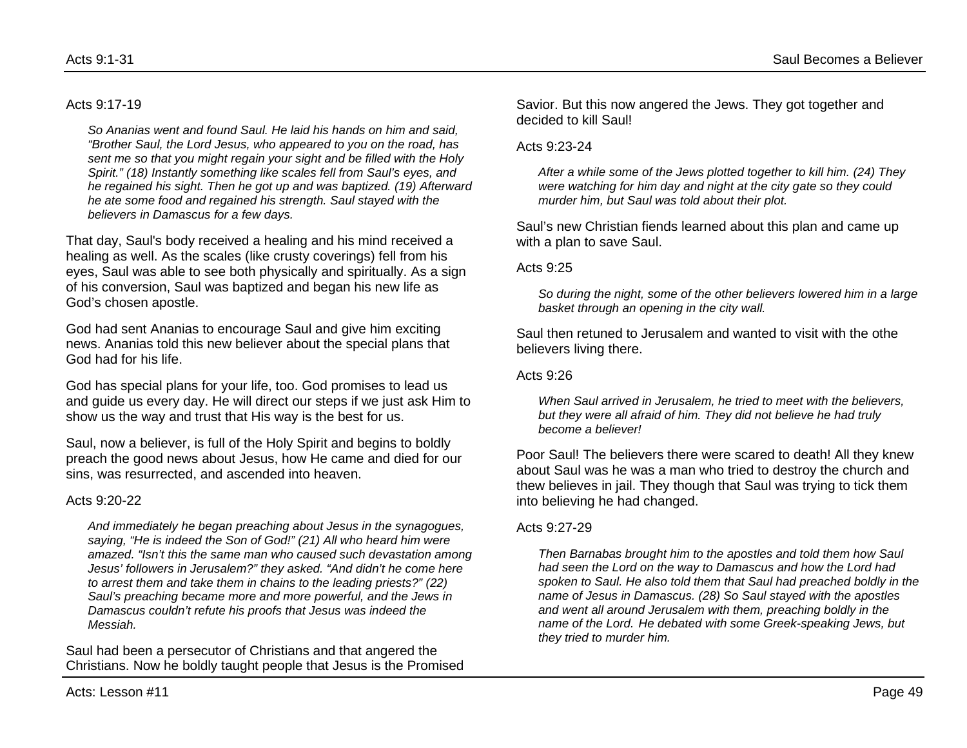#### Acts 9:17-19

*So Ananias went and found Saul. He laid his hands on him and said, "Brother Saul, the Lord Jesus, who appeared to you on the road, has sent me so that you might regain your sight and be filled with the Holy Spirit." (18) Instantly something like scales fell from Saul's eyes, and he regained his sight. Then he got up and was baptized. (19) Afterward he ate some food and regained his strength. Saul stayed with the believers in Damascus for a few days.*

That day, Saul's body received a healing and his mind received a healing as well. As the scales (like crusty coverings) fell from his eyes, Saul was able to see both physically and spiritually. As a sign of his conversion, Saul was baptized and began his new life as God's chosen apostle.

God had sent Ananias to encourage Saul and give him exciting news. Ananias told this new believer about the special plans that God had for his life.

God has special plans for your life, too. God promises to lead us and guide us every day. He will direct our steps if we just ask Him to show us the way and trust that His way is the best for us.

Saul, now a believer, is full of the Holy Spirit and begins to boldly preach the good news about Jesus, how He came and died for our sins, was resurrected, and ascended into heaven.

#### Acts 9:20-22

*And immediately he began preaching about Jesus in the synagogues, saying, "He is indeed the Son of God!" (21) All who heard him were amazed. "Isn't this the same man who caused such devastation among Jesus' followers in Jerusalem?" they asked. "And didn't he come here to arrest them and take them in chains to the leading priests?" (22) Saul's preaching became more and more powerful, and the Jews in Damascus couldn't refute his proofs that Jesus was indeed the Messiah.*

Saul had been a persecutor of Christians and that angered the Christians. Now he boldly taught people that Jesus is the Promised Savior. But this now angered the Jews. They got together and decided to kill Saul!

#### Acts 9:23-24

*After a while some of the Jews plotted together to kill him. (24) They were watching for him day and night at the city gate so they could murder him, but Saul was told about their plot.*

Saul's new Christian fiends learned about this plan and came up with a plan to save Saul.

Acts 9:25

*So during the night, some of the other believers lowered him in a large basket through an opening in the city wall.*

Saul then retuned to Jerusalem and wanted to visit with the othe believers living there.

Acts 9:26

*When Saul arrived in Jerusalem, he tried to meet with the believers, but they were all afraid of him. They did not believe he had truly become a believer!*

Poor Saul! The believers there were scared to death! All they knew about Saul was he was a man who tried to destroy the church and thew believes in jail. They though that Saul was trying to tick them into believing he had changed.

### Acts 9:27-29

*Then Barnabas brought him to the apostles and told them how Saul had seen the Lord on the way to Damascus and how the Lord had spoken to Saul. He also told them that Saul had preached boldly in the name of Jesus in Damascus. (28) So Saul stayed with the apostles and went all around Jerusalem with them, preaching boldly in the name of the Lord. He debated with some Greek-speaking Jews, but they tried to murder him.*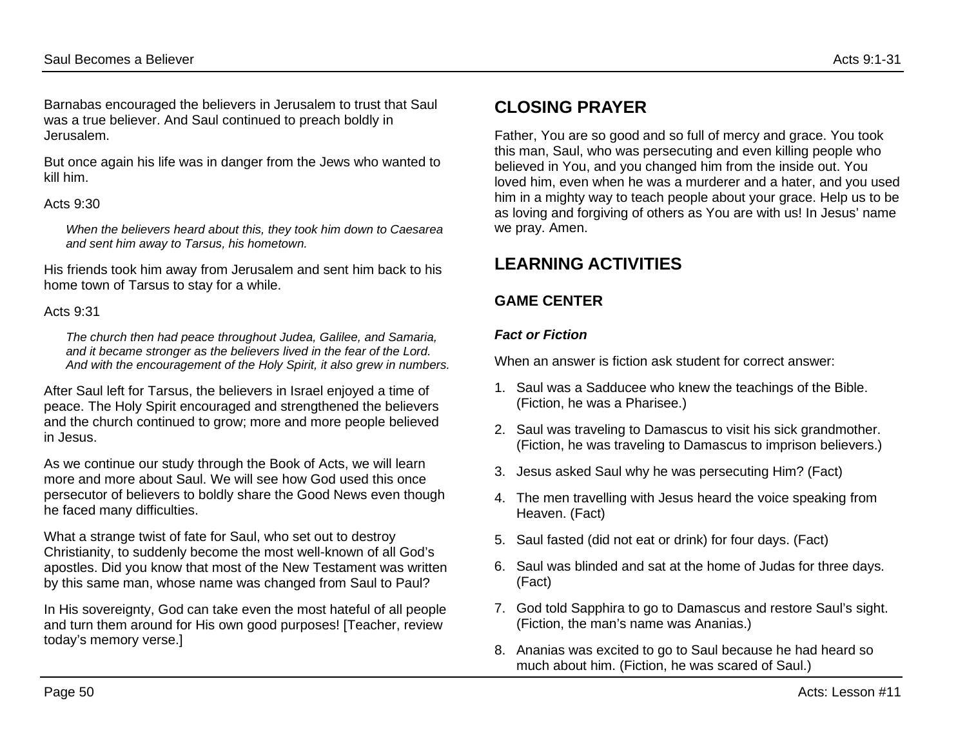Barnabas encouraged the believers in Jerusalem to trust that Saul was a true believer. And Saul continued to preach boldly in Jerusalem.

But once again his life was in danger from the Jews who wanted to kill him.

## Acts 9:30

*When the believers heard about this, they took him down to Caesarea and sent him away to Tarsus, his hometown.*

His friends took him away from Jerusalem and sent him back to his home town of Tarsus to stay for a while.

# Acts 9:31

*The church then had peace throughout Judea, Galilee, and Samaria, and it became stronger as the believers lived in the fear of the Lord. And with the encouragement of the Holy Spirit, it also grew in numbers.*

After Saul left for Tarsus, the believers in Israel enjoyed a time of peace. The Holy Spirit encouraged and strengthened the believers and the church continued to grow; more and more people believed in Jesus.

As we continue our study through the Book of Acts, we will learn more and more about Saul. We will see how God used this once persecutor of believers to boldly share the Good News even though he faced many difficulties.

What a strange twist of fate for Saul, who set out to destroy Christianity, to suddenly become the most well-known of all God's apostles. Did you know that most of the New Testament was written by this same man, whose name was changed from Saul to Paul?

In His sovereignty, God can take even the most hateful of all people and turn them around for His own good purposes! [Teacher, review today's memory verse.]

# **CLOSING PRAYER**

Father, You are so good and so full of mercy and grace. You took this man, Saul, who was persecuting and even killing people who believed in You, and you changed him from the inside out. You loved him, even when he was a murderer and a hater, and you used him in a mighty way to teach people about your grace. Help us to be as loving and forgiving of others as You are with us! In Jesus' name we pray. Amen.

# **LEARNING ACTIVITIES**

# **GAME CENTER**

# *Fact or Fiction*

When an answer is fiction ask student for correct answer:

- 1. Saul was a Sadducee who knew the teachings of the Bible. (Fiction, he was a Pharisee.)
- 2. Saul was traveling to Damascus to visit his sick grandmother. (Fiction, he was traveling to Damascus to imprison believers.)
- 3. Jesus asked Saul why he was persecuting Him? (Fact)
- 4. The men travelling with Jesus heard the voice speaking from Heaven. (Fact)
- 5. Saul fasted (did not eat or drink) for four days. (Fact)
- 6. Saul was blinded and sat at the home of Judas for three days. (Fact)
- 7. God told Sapphira to go to Damascus and restore Saul's sight. (Fiction, the man's name was Ananias.)
- 8. Ananias was excited to go to Saul because he had heard so much about him. (Fiction, he was scared of Saul.)